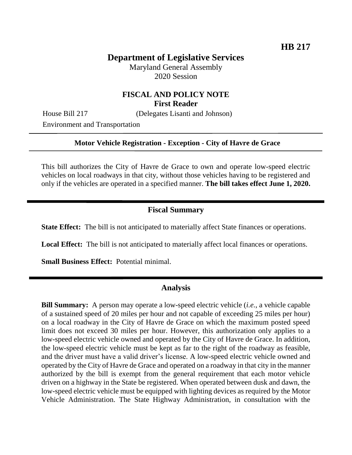# **Department of Legislative Services**

Maryland General Assembly 2020 Session

## **FISCAL AND POLICY NOTE First Reader**

House Bill 217 (Delegates Lisanti and Johnson)

Environment and Transportation

#### **Motor Vehicle Registration - Exception - City of Havre de Grace**

This bill authorizes the City of Havre de Grace to own and operate low-speed electric vehicles on local roadways in that city, without those vehicles having to be registered and only if the vehicles are operated in a specified manner. **The bill takes effect June 1, 2020.**

### **Fiscal Summary**

**State Effect:** The bill is not anticipated to materially affect State finances or operations.

**Local Effect:** The bill is not anticipated to materially affect local finances or operations.

**Small Business Effect:** Potential minimal.

#### **Analysis**

**Bill Summary:** A person may operate a low-speed electric vehicle (*i.e.*, a vehicle capable of a sustained speed of 20 miles per hour and not capable of exceeding 25 miles per hour) on a local roadway in the City of Havre de Grace on which the maximum posted speed limit does not exceed 30 miles per hour. However, this authorization only applies to a low-speed electric vehicle owned and operated by the City of Havre de Grace. In addition, the low-speed electric vehicle must be kept as far to the right of the roadway as feasible, and the driver must have a valid driver's license. A low-speed electric vehicle owned and operated by the City of Havre de Grace and operated on a roadway in that city in the manner authorized by the bill is exempt from the general requirement that each motor vehicle driven on a highway in the State be registered. When operated between dusk and dawn, the low-speed electric vehicle must be equipped with lighting devices as required by the Motor Vehicle Administration. The State Highway Administration, in consultation with the